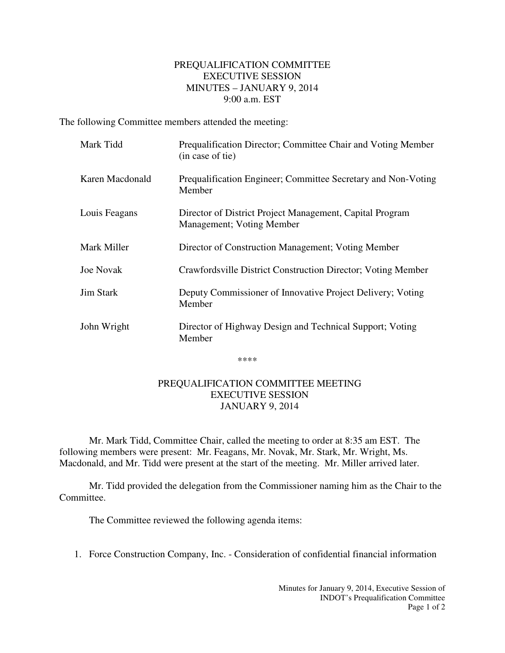## PREQUALIFICATION COMMITTEE EXECUTIVE SESSION MINUTES – JANUARY 9, 2014 9:00 a.m. EST

The following Committee members attended the meeting:

| Mark Tidd        | Prequalification Director; Committee Chair and Voting Member<br>(in case of tie)              |
|------------------|-----------------------------------------------------------------------------------------------|
| Karen Macdonald  | Prequalification Engineer; Committee Secretary and Non-Voting<br>Member                       |
| Louis Feagans    | Director of District Project Management, Capital Program<br><b>Management</b> ; Voting Member |
| Mark Miller      | Director of Construction Management; Voting Member                                            |
| <b>Joe Novak</b> | Crawfordsville District Construction Director; Voting Member                                  |
| <b>Jim Stark</b> | Deputy Commissioner of Innovative Project Delivery; Voting<br>Member                          |
| John Wright      | Director of Highway Design and Technical Support; Voting<br>Member                            |

\*\*\*\*

## PREQUALIFICATION COMMITTEE MEETING EXECUTIVE SESSION JANUARY 9, 2014

Mr. Mark Tidd, Committee Chair, called the meeting to order at 8:35 am EST. The following members were present: Mr. Feagans, Mr. Novak, Mr. Stark, Mr. Wright, Ms. Macdonald, and Mr. Tidd were present at the start of the meeting. Mr. Miller arrived later.

Mr. Tidd provided the delegation from the Commissioner naming him as the Chair to the Committee.

The Committee reviewed the following agenda items:

1. Force Construction Company, Inc. - Consideration of confidential financial information